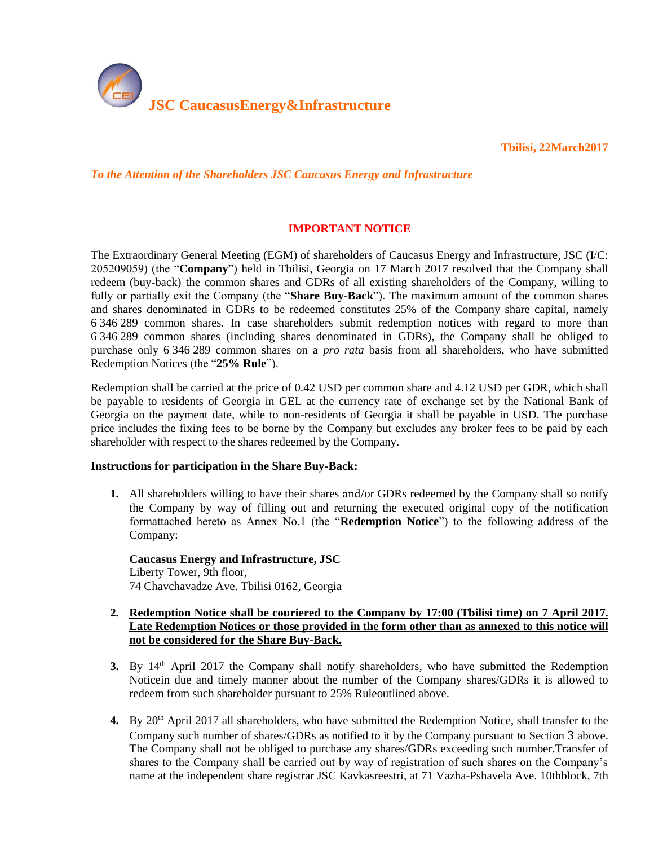

**Tbilisi, 22March2017** 

*To the Attention of the Shareholders JSC Caucasus Energy and Infrastructure*

# **IMPORTANT NOTICE**

The Extraordinary General Meeting (EGM) of shareholders of Caucasus Energy and Infrastructure, JSC (I/C: 205209059) (the "**Company**") held in Tbilisi, Georgia on 17 March 2017 resolved that the Company shall redeem (buy-back) the common shares and GDRs of all existing shareholders of the Company, willing to fully or partially exit the Company (the "**Share Buy-Back**"). The maximum amount of the common shares and shares denominated in GDRs to be redeemed constitutes 25% of the Company share capital, namely 6 346 289 common shares. In case shareholders submit redemption notices with regard to more than 6 346 289 common shares (including shares denominated in GDRs), the Company shall be obliged to purchase only 6 346 289 common shares on a *pro rata* basis from all shareholders, who have submitted Redemption Notices (the "**25% Rule**").

Redemption shall be carried at the price of 0.42 USD per common share and 4.12 USD per GDR, which shall be payable to residents of Georgia in GEL at the currency rate of exchange set by the National Bank of Georgia on the payment date, while to non-residents of Georgia it shall be payable in USD. The purchase price includes the fixing fees to be borne by the Company but excludes any broker fees to be paid by each shareholder with respect to the shares redeemed by the Company.

#### **Instructions for participation in the Share Buy-Back:**

**1.** All shareholders willing to have their shares and/or GDRs redeemed by the Company shall so notify the Company by way of filling out and returning the executed original copy of the notification formattached hereto as Annex No.1 (the "**Redemption Notice**") to the following address of the Company:

**Caucasus Energy and Infrastructure, JSC** Liberty Tower, 9th floor, 74 Chavchavadze Ave. Tbilisi 0162, Georgia

## **2. Redemption Notice shall be couriered to the Company by 17:00 (Tbilisi time) on 7 April 2017. Late Redemption Notices or those provided in the form other than as annexed to this notice will not be considered for the Share Buy-Back.**

- <span id="page-0-0"></span>**3.** By 14<sup>th</sup> April 2017 the Company shall notify shareholders, who have submitted the Redemption Noticein due and timely manner about the number of the Company shares/GDRs it is allowed to redeem from such shareholder pursuant to 25% Ruleoutlined above.
- <span id="page-0-1"></span>**4.** By 20th April 2017 all shareholders, who have submitted the Redemption Notice, shall transfer to the Company such number of shares/GDRs as notified to it by the Company pursuant to Section [3](#page-0-0) above. The Company shall not be obliged to purchase any shares/GDRs exceeding such number.Transfer of shares to the Company shall be carried out by way of registration of such shares on the Company's name at the independent share registrar JSC Kavkasreestri, at 71 Vazha-Pshavela Ave. 10thblock, 7th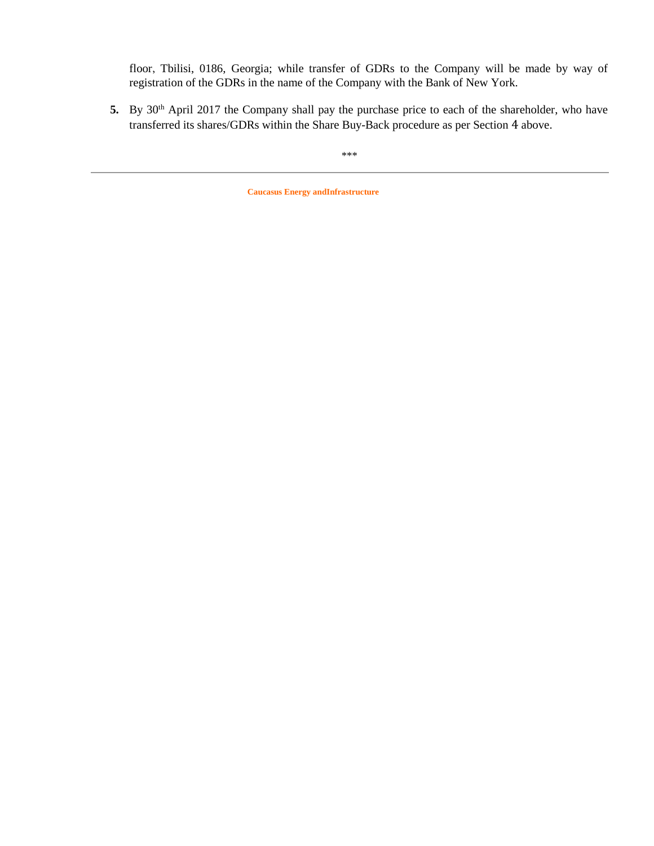floor, Tbilisi, 0186, Georgia; while transfer of GDRs to the Company will be made by way of registration of the GDRs in the name of the Company with the Bank of New York.

5. By 30<sup>th</sup> April 2017 the Company shall pay the purchase price to each of the shareholder, who have transferred its shares/GDRs within the Share Buy-Back procedure as per Section [4](#page-0-1) above.

\*\*\*

**Caucasus Energy andInfrastructure**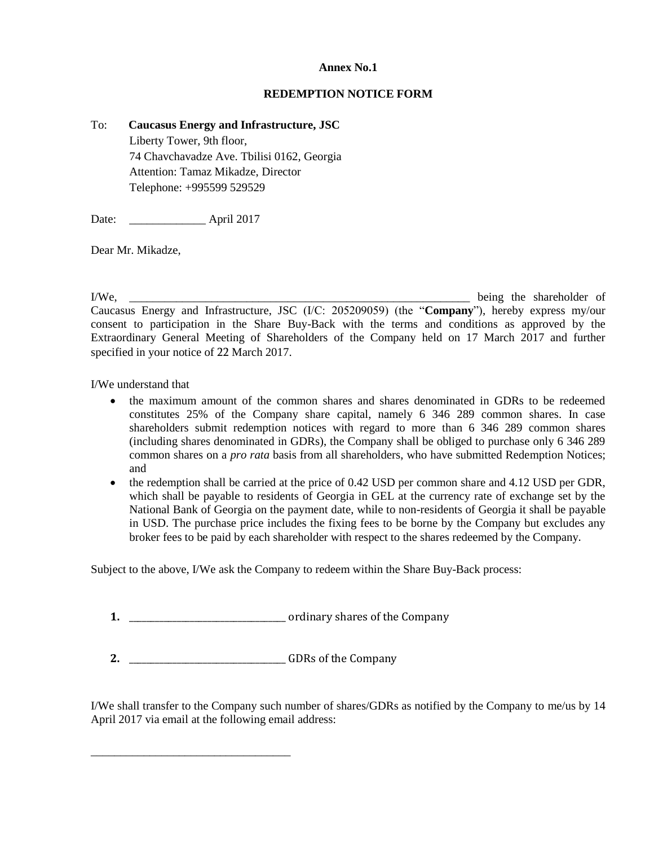## **Annex No.1**

#### **REDEMPTION NOTICE FORM**

#### To: **Caucasus Energy and Infrastructure, JSC**

Liberty Tower, 9th floor, 74 Chavchavadze Ave. Tbilisi 0162, Georgia Attention: Tamaz Mikadze, Director Telephone: +995599 529529

Date: April 2017

Dear Mr. Mikadze,

I/We, \_\_\_\_\_\_\_\_\_\_\_\_\_\_\_\_\_\_\_\_\_\_\_\_\_\_\_\_\_\_\_\_\_\_\_\_\_\_\_\_\_\_\_\_\_\_\_\_\_\_\_\_\_\_\_\_\_\_ being the shareholder of Caucasus Energy and Infrastructure, JSC (I/C: 205209059) (the "**Company**"), hereby express my/our consent to participation in the Share Buy-Back with the terms and conditions as approved by the Extraordinary General Meeting of Shareholders of the Company held on 17 March 2017 and further specified in your notice of 22 March 2017.

I/We understand that

- the maximum amount of the common shares and shares denominated in GDRs to be redeemed constitutes 25% of the Company share capital, namely 6 346 289 common shares. In case shareholders submit redemption notices with regard to more than 6 346 289 common shares (including shares denominated in GDRs), the Company shall be obliged to purchase only 6 346 289 common shares on a *pro rata* basis from all shareholders, who have submitted Redemption Notices; and
- $\bullet$  the redemption shall be carried at the price of 0.42 USD per common share and 4.12 USD per GDR, which shall be payable to residents of Georgia in GEL at the currency rate of exchange set by the National Bank of Georgia on the payment date, while to non-residents of Georgia it shall be payable in USD. The purchase price includes the fixing fees to be borne by the Company but excludes any broker fees to be paid by each shareholder with respect to the shares redeemed by the Company.

Subject to the above, I/We ask the Company to redeem within the Share Buy-Back process:

**1.** \_\_\_\_\_\_\_\_\_\_\_\_\_\_\_\_\_\_\_\_\_\_\_\_\_\_\_\_\_\_\_\_\_\_\_\_ ordinary shares of the Company

**2.** \_\_\_\_\_\_\_\_\_\_\_\_\_\_\_\_\_\_\_\_\_\_\_\_\_\_\_\_\_\_\_\_\_\_\_\_ GDRs of the Company

\_\_\_\_\_\_\_\_\_\_\_\_\_\_\_\_\_\_\_\_\_\_\_\_\_\_\_\_\_\_\_\_\_\_

I/We shall transfer to the Company such number of shares/GDRs as notified by the Company to me/us by 14 April 2017 via email at the following email address: